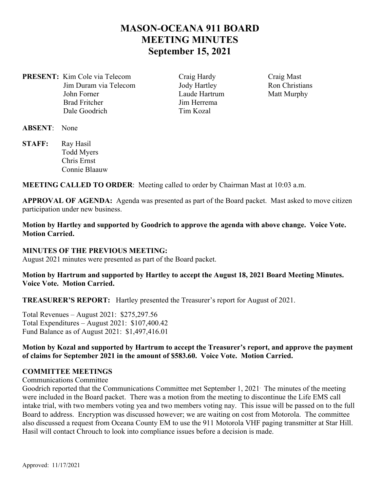# **MASON-OCEANA 911 BOARD MEETING MINUTES September 15, 2021**

**PRESENT:** Kim Cole via Telecom Craig Hardy Craig Mast Jim Duram via Telecom Jody Hartley Ron Christians John Forner Laude Hartrum Matt Murphy Brad Fritcher Jim Herrema Dale Goodrich Tim Kozal

**ABSENT**: None

STAFF: Ray Hasil Todd Myers Chris Ernst Connie Blaauw

**MEETING CALLED TO ORDER**: Meeting called to order by Chairman Mast at 10:03 a.m.

**APPROVAL OF AGENDA:** Agenda was presented as part of the Board packet. Mast asked to move citizen participation under new business.

**Motion by Hartley and supported by Goodrich to approve the agenda with above change. Voice Vote. Motion Carried.** 

### **MINUTES OF THE PREVIOUS MEETING:**

August 2021 minutes were presented as part of the Board packet.

### **Motion by Hartrum and supported by Hartley to accept the August 18, 2021 Board Meeting Minutes. Voice Vote. Motion Carried.**

**TREASURER'S REPORT:** Hartley presented the Treasurer's report for August of 2021.

Total Revenues – August 2021: \$275,297.56 Total Expenditures – August 2021: \$107,400.42 Fund Balance as of August 2021: \$1,497,416.01

**Motion by Kozal and supported by Hartrum to accept the Treasurer's report, and approve the payment of claims for September 2021 in the amount of \$583.60. Voice Vote. Motion Carried.** 

### **COMMITTEE MEETINGS**

Communications Committee

Goodrich reported that the Communications Committee met September 1, 2021. The minutes of the meeting were included in the Board packet. There was a motion from the meeting to discontinue the Life EMS call intake trial, with two members voting yea and two members voting nay. This issue will be passed on to the full Board to address. Encryption was discussed however; we are waiting on cost from Motorola. The committee also discussed a request from Oceana County EM to use the 911 Motorola VHF paging transmitter at Star Hill. Hasil will contact Chrouch to look into compliance issues before a decision is made.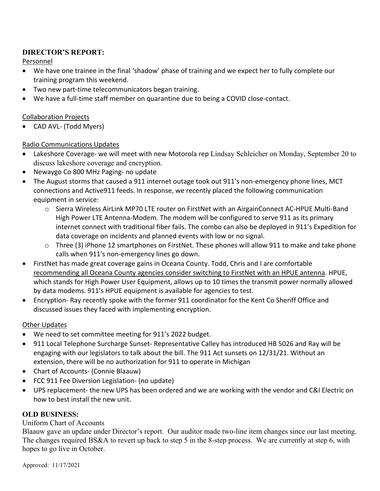# **DIRECTOR'S REPORT:**

Personnel

- We have one trainee in the final 'shadow' phase of training and we expect her to fully complete our training program this weekend.
- Two new part-time telecommunicators began training.
- We have a full-time staff member on quarantine due to being a COVID close-contact.

### Collaboration Projects

● CAD AVL- (Todd Myers)

## Radio Communications Updates

- Lakeshore Coverage‐ we will meet with new Motorola rep Lindsay Schleicher on Monday, September 20 to discuss lakeshore coverage and encryption.
- Newaygo Co 800 MHz Paging‐ no update
- The August storms that caused a 911 internet outage took out 911's non-emergency phone lines, MCT connections and Active911 feeds. In response, we recently placed the following communication equipment in service:
	- o Sierra Wireless AirLink MP70 LTE router on FirstNet with an AirgainConnect AC‐HPUE Multi‐Band High Power LTE Antenna‐Modem. The modem will be configured to serve 911 as its primary internet connect with traditional fiber fails. The combo can also be deployed in 911's Expedition for data coverage on incidents and planned events with low or no signal.
	- o Three (3) iPhone 12 smartphones on FirstNet. These phones will allow 911 to make and take phone calls when 911's non‐emergency lines go down.
- FirstNet has made great coverage gains in Oceana County. Todd, Chris and I are comfortable recommending all Oceana County agencies consider switching to FirstNet with an HPUE antenna. HPUE, which stands for High Power User Equipment, allows up to 10 times the transmit power normally allowed by data modems. 911's HPUE equipment is available for agencies to test.
- Encryption- Ray recently spoke with the former 911 coordinator for the Kent Co Sheriff Office and discussed issues they faced with implementing encryption.

# Other Updates

- We need to set committee meeting for 911's 2022 budget.
- 911 Local Telephone Surcharge Sunset- Representative Calley has introduced HB 5026 and Ray will be engaging with our legislators to talk about the bill. The 911 Act sunsets on 12/31/21. Without an extension, there will be no authorization for 911 to operate in Michigan
- Chart of Accounts (Connie Blaauw)
- FCC 911 Fee Diversion Legislation- (no update)
- UPS replacement- the new UPS has been ordered and we are working with the vendor and C&I Electric on how to best install the new unit.

# **OLD BUSINESS:**

## Uniform Chart of Accounts

Blaauw gave an update under Director's report. Our auditor made two-line item changes since our last meeting. The changes required BS&A to revert up back to step 5 in the 8-step process. We are currently at step 6, with hopes to go live in October.

Approved: 11/17/2021